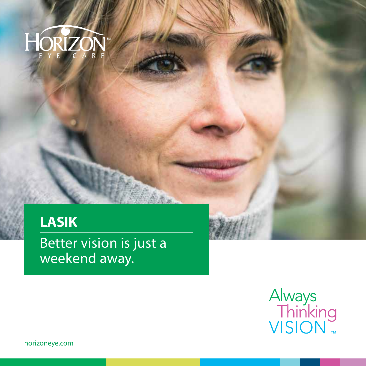

# **LASIK**

Better vision is just a weekend away.



horizoneye.com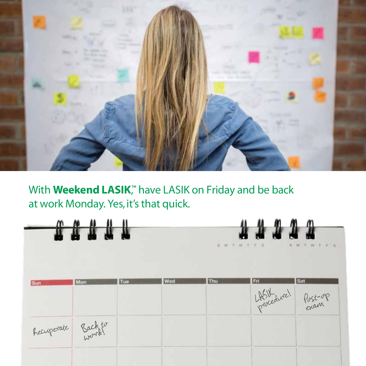

**With Weekend LASIK**,™ have LASIK on Friday and be back at work Monday. Yes, it's that quick.

|                    | $\overline{\mathbf{u}}$ |     |     |     | 44444<br>SMTWTFS | S. M. T. W. T. F.<br>$-9$ |
|--------------------|-------------------------|-----|-----|-----|------------------|---------------------------|
| Sun                | Mon                     | Tue | Wed | Thu | Fri              | Sat<br>LASH Post-op       |
| hecuperate Backton |                         |     |     |     |                  |                           |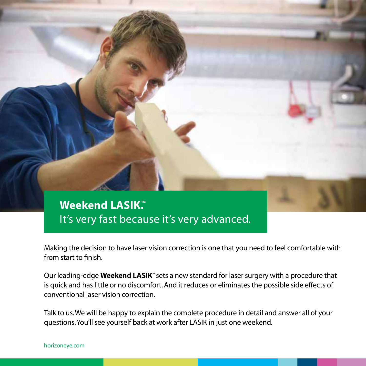

Making the decision to have laser vision correction is one that you need to feel comfortable with from start to finish.

Our leading-edge **Weekend LASIK**" sets a new standard for laser surgery with a procedure that is quick and has little or no discomfort. And it reduces or eliminates the possible side effects of conventional laser vision correction.

Talk to us. We will be happy to explain the complete procedure in detail and answer all of your questions. You'll see yourself back at work after LASIK in just one weekend.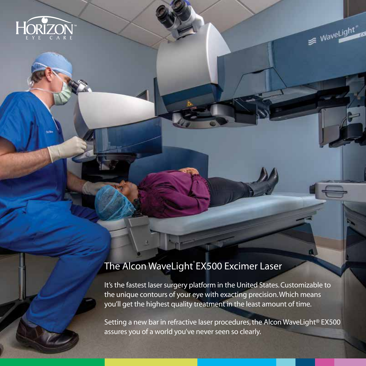

#### The Alcon WaveLight EX500 Excimer Laser

It's the fastest laser surgery platform in the United States. Customizable to the unique contours of your eye with exacting precision. Which means you'll get the highest quality treatment in the least amount of time.

WaveLight

Setting a new bar in refractive laser procedures, the Alcon WaveLight® EX500 assures you of a world you've never seen so clearly.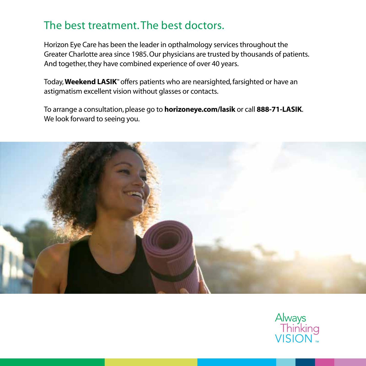## The best treatment. The best doctors.

Horizon Eye Care has been the leader in opthalmology services throughout the Greater Charlotte area since 1985. Our physicians are trusted by thousands of patients. And together, they have combined experience of over 40 years.

Today, **Weekend LASIK**" offers patients who are nearsighted, farsighted or have an astigmatism excellent vision without glasses or contacts.

To arrange a consultation, please go to **horizoneye.com/lasik** or call **888-71-LASIK**. We look forward to seeing you.